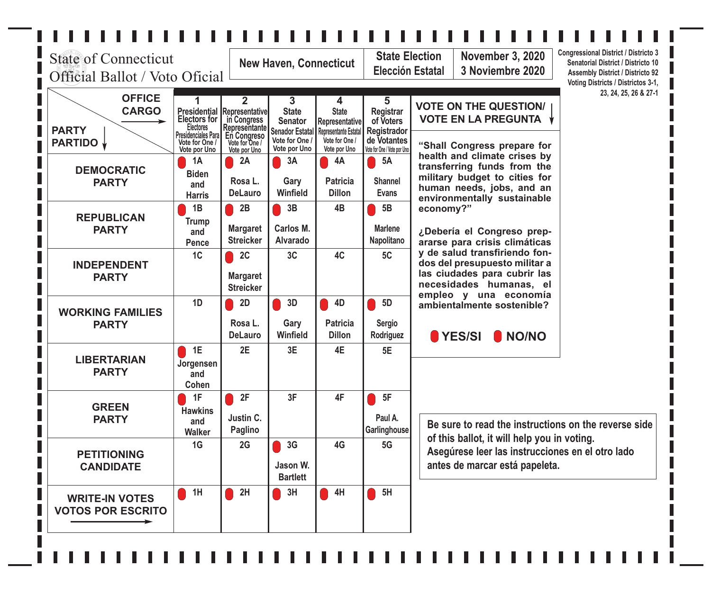#### $1111111$  $111$  $\mathbf{I}$  $\blacksquare$  $\mathbf{L}$  $\overline{\phantom{a}}$ **I** H П  $\blacksquare$  $\blacksquare$  $\blacksquare$  $\mathbf{I}$ П П

П

I

П I

| <b>State of Connecticut</b><br>Official Ballot / Voto Oficial |                                                                                               |                                                                               | <b>New Haven, Connecticut</b>                                                   |                                                                                       |                                                                            | <b>Congressional District / Districto 3</b><br><b>State Election</b><br><b>November 3, 2020</b><br>Senatorial District / Districto 10<br>3 Noviembre 2020<br>Elección Estatal<br><b>Assembly District / Districto 92</b><br>Voting Districts / Districtos 3-1, |
|---------------------------------------------------------------|-----------------------------------------------------------------------------------------------|-------------------------------------------------------------------------------|---------------------------------------------------------------------------------|---------------------------------------------------------------------------------------|----------------------------------------------------------------------------|----------------------------------------------------------------------------------------------------------------------------------------------------------------------------------------------------------------------------------------------------------------|
| <b>OFFICE</b><br><b>CARGO</b><br><b>PARTY</b>                 | <b>Presidential Representative</b><br><b>Electors for</b><br>Electores<br>Presidenciales Para | $\mathbf{2}$<br>in Congress<br>Representante<br>En Congreso<br>Vote for One / | 3<br><b>State</b><br><b>Senator</b><br><b>Senador Estatal</b><br>Vote for One / | 4<br><b>State</b><br>Representative<br><b>Representante Estatal</b><br>Vote for One / | 5<br><b>Registrar</b><br>of Voters<br>Registrador<br>de Votantes           | 23, 24, 25, 26 & 27-1<br><b>VOTE ON THE QUESTION/</b><br><b>VOTE EN LA PREGUNTA</b>                                                                                                                                                                            |
| <b>PARTIDO</b><br><b>DEMOCRATIC</b><br><b>PARTY</b>           | Vote for One /<br>Vote por Uno<br><b>1A</b><br><b>Biden</b><br>and<br><b>Harris</b>           | Vote por Uno<br>2A<br>Rosa L.<br><b>DeLauro</b>                               | Vote por Uno<br>3A<br>Gary<br><b>Winfield</b>                                   | Vote por Uno<br>4A<br><b>Patricia</b><br><b>Dillon</b>                                | Vote for One / Vote por Uno<br><b>5A</b><br><b>Shannel</b><br><b>Evans</b> | "Shall Congress prepare for<br>health and climate crises by<br>transferring funds from the<br>military budget to cities for<br>human needs, jobs, and an<br>environmentally sustainable                                                                        |
| <b>REPUBLICAN</b><br><b>PARTY</b>                             | 1B<br><b>Trump</b><br>and<br>Pence                                                            | 2B<br><b>Margaret</b><br><b>Streicker</b>                                     | 3B<br>Carlos M.<br><b>Alvarado</b>                                              | 4B                                                                                    | 5B<br><b>Marlene</b><br>Napolitano                                         | economy?"<br>¿Debería el Congreso prep-<br>ararse para crisis climáticas                                                                                                                                                                                       |
| <b>INDEPENDENT</b><br><b>PARTY</b>                            | 1C                                                                                            | 2C<br><b>Margaret</b><br><b>Streicker</b>                                     | 3C                                                                              | 4C                                                                                    | 5C                                                                         | y de salud transfiriendo fon-<br>dos del presupuesto militar a<br>las ciudades para cubrir las<br>necesidades humanas, el<br>empleo y una economía                                                                                                             |
| <b>WORKING FAMILIES</b><br><b>PARTY</b>                       | 1D                                                                                            | 2D<br>Rosa L.<br><b>DeLauro</b>                                               | 3D<br>Gary<br><b>Winfield</b>                                                   | 4D<br><b>Patricia</b><br><b>Dillon</b>                                                | 5D<br><b>Sergio</b><br>Rodriguez                                           | ambientalmente sostenible?<br>YES/SI<br>I NO/NO                                                                                                                                                                                                                |
| <b>LIBERTARIAN</b><br><b>PARTY</b>                            | 1E<br>Jorgensen<br>and<br>Cohen                                                               | 2E                                                                            | 3E                                                                              | 4E                                                                                    | 5E                                                                         |                                                                                                                                                                                                                                                                |
| <b>GREEN</b><br><b>PARTY</b>                                  | 1F<br><b>Hawkins</b><br>and<br><b>Walker</b>                                                  | 2F<br>Justin C.<br><b>Paglino</b>                                             | 3F                                                                              | 4F                                                                                    | 5F<br>Paul A.<br>Garlinghouse                                              | Be sure to read the instructions on the reverse side                                                                                                                                                                                                           |
| <b>PETITIONING</b><br><b>CANDIDATE</b>                        | 1G                                                                                            | 2G                                                                            | 3G<br>Jason W.<br><b>Bartlett</b>                                               | 4G                                                                                    | 5G                                                                         | of this ballot, it will help you in voting.<br>Asegúrese leer las instrucciones en el otro lado<br>antes de marcar está papeleta.                                                                                                                              |
| <b>WRITE-IN VOTES</b><br><b>VOTOS POR ESCRITO</b>             | 1H                                                                                            | 2H                                                                            | 3H                                                                              | 4H                                                                                    | 5H                                                                         |                                                                                                                                                                                                                                                                |
|                                                               |                                                                                               |                                                                               |                                                                                 |                                                                                       |                                                                            |                                                                                                                                                                                                                                                                |

 $\mathbf{I}$  $\blacksquare$  $1111$  $\mathbb T$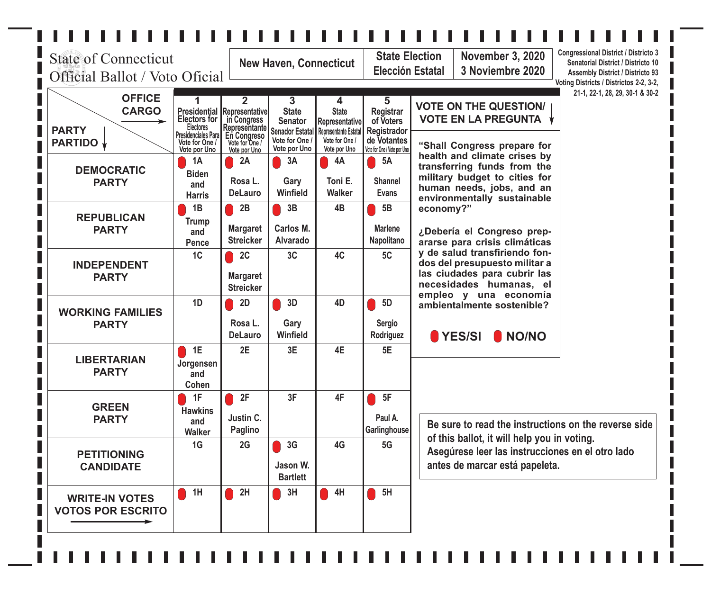### $\blacksquare$  $\blacksquare$  $\mathbb{R}^{\mathbb{N}}$

| <b>State of Connecticut</b><br>Official Ballot / Voto Oficial   |                                                                                                                                           |                                                                                               | <b>New Haven, Connecticut</b>                                                                   |                                                                                                       |                                                                                                 | <b>Congressional District / Districto 3</b><br><b>State Election</b><br><b>November 3, 2020</b><br>Senatorial District / Districto 10<br><b>Elección Estatal</b><br>3 Noviembre 2020<br><b>Assembly District / Districto 93</b><br>Voting Districts / Districtos 2-2, 3-2, |
|-----------------------------------------------------------------|-------------------------------------------------------------------------------------------------------------------------------------------|-----------------------------------------------------------------------------------------------|-------------------------------------------------------------------------------------------------|-------------------------------------------------------------------------------------------------------|-------------------------------------------------------------------------------------------------|----------------------------------------------------------------------------------------------------------------------------------------------------------------------------------------------------------------------------------------------------------------------------|
| <b>OFFICE</b><br><b>CARGO</b><br><b>PARTY</b><br><b>PARTIDO</b> | 1<br><b>Presidential Representative</b><br><b>Electors for</b><br><b>Electores</b><br>Presidenciales Para<br>Vote for One<br>Vote por Uno | $\mathbf{2}$<br>in Congress<br>Representante<br>En Congreso<br>Vote for One /<br>Vote por Uno | 3<br><b>State</b><br><b>Senator</b><br><b>Senador Estatal</b><br>Vote for One /<br>Vote por Uno | 4<br><b>State</b><br>Representative<br><b>Representante Estatal</b><br>Vote for One /<br>Vote por Uno | 5<br><b>Registrar</b><br>of Voters<br>Registrador<br>de Votantes<br>Vote for One / Vote por Uno | 21-1, 22-1, 28, 29, 30-1 & 30-2<br><b>VOTE ON THE QUESTION/</b><br><b>VOTE EN LA PREGUNTA</b><br>"Shall Congress prepare for                                                                                                                                               |
| <b>DEMOCRATIC</b><br><b>PARTY</b>                               | <b>1A</b><br><b>Biden</b><br>and<br><b>Harris</b>                                                                                         | 2A<br>Rosa L.<br><b>DeLauro</b>                                                               | 3A<br>Gary<br>Winfield                                                                          | 4A<br>Toni E.<br><b>Walker</b>                                                                        | <b>5A</b><br><b>Shannel</b><br><b>Evans</b>                                                     | health and climate crises by<br>transferring funds from the<br>military budget to cities for<br>human needs, jobs, and an<br>environmentally sustainable                                                                                                                   |
| <b>REPUBLICAN</b><br><b>PARTY</b>                               | 1B<br><b>Trump</b><br>and<br>Pence                                                                                                        | 2B<br><b>Margaret</b><br><b>Streicker</b>                                                     | 3B<br>Carlos M.<br><b>Alvarado</b>                                                              | 4B                                                                                                    | 5B<br><b>Marlene</b><br>Napolitano                                                              | economy?"<br>¿Debería el Congreso prep-<br>ararse para crisis climáticas                                                                                                                                                                                                   |
| <b>INDEPENDENT</b><br><b>PARTY</b>                              | 1 <sup>C</sup>                                                                                                                            | 2C<br><b>Margaret</b><br><b>Streicker</b>                                                     | 3C                                                                                              | 4C                                                                                                    | 5C                                                                                              | dos del presupuesto militar a<br>las ciudades para cubrir las<br>necesidades humanas, el                                                                                                                                                                                   |
| <b>WORKING FAMILIES</b><br><b>PARTY</b>                         | 1D                                                                                                                                        | 2D<br>Rosa L.<br><b>DeLauro</b>                                                               | 3D<br>Gary<br>Winfield                                                                          | 4D                                                                                                    | 5D<br><b>Sergio</b><br>Rodriguez                                                                | ambientalmente sostenible?<br>YES/SI<br>I NO/NO                                                                                                                                                                                                                            |
| <b>LIBERTARIAN</b><br><b>PARTY</b>                              | 1E<br>Jorgensen<br>and<br>Cohen                                                                                                           | 2E                                                                                            | 3E                                                                                              | 4E                                                                                                    | 5E                                                                                              |                                                                                                                                                                                                                                                                            |
| <b>GREEN</b><br><b>PARTY</b>                                    | 1F<br><b>Hawkins</b><br>and<br><b>Walker</b>                                                                                              | 2F<br>Justin C.<br>Paglino                                                                    | 3F                                                                                              | 4F                                                                                                    | 5F<br>Paul A.<br>Garlinghouse                                                                   | Be sure to read the instructions on the reverse side                                                                                                                                                                                                                       |
| <b>PETITIONING</b><br><b>CANDIDATE</b>                          | 1G                                                                                                                                        | 2G                                                                                            | 3G<br>Jason W.<br><b>Bartlett</b>                                                               | 4G                                                                                                    | 5G                                                                                              | Asegúrese leer las instrucciones en el otro lado<br>antes de marcar está papeleta.                                                                                                                                                                                         |
| <b>WRITE-IN VOTES</b><br><b>VOTOS POR ESCRITO</b>               | 1H                                                                                                                                        | 2H                                                                                            | 3H                                                                                              | 4H                                                                                                    | 5H                                                                                              |                                                                                                                                                                                                                                                                            |
|                                                                 |                                                                                                                                           |                                                                                               |                                                                                                 |                                                                                                       |                                                                                                 | y de salud transfiriendo fon-<br>empleo y una economía<br>of this ballot, it will help you in voting.                                                                                                                                                                      |

 $\blacksquare$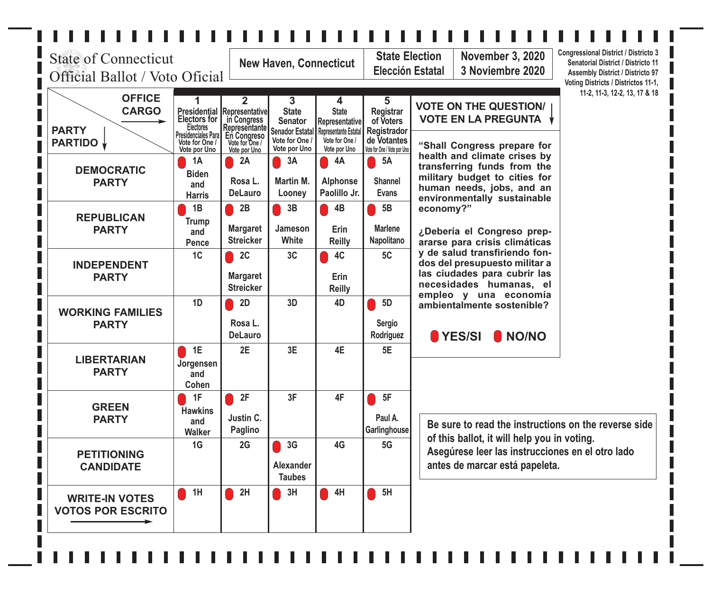### $1111111111$ **11111**  $\blacksquare$  $\overline{\phantom{a}}$ **I**  $\overline{\phantom{a}}$  $\overline{\phantom{a}}$  $\blacksquare$  $\blacksquare$  $\mathbb{R}$  $\overline{\phantom{a}}$ п  $\overline{\phantom{a}}$  $\overline{\phantom{a}}$

I.

П

П

| <b>State of Connecticut</b><br>Official Ballot / Voto Oficial   |                                                                                                                 |                                                                                 | <b>New Haven, Connecticut</b>                                                                   |                                                                                                |                                                                                                 | <b>Congressional District / Districto 3</b><br><b>State Election</b><br><b>November 3, 2020</b><br>Senatorial District / Districto 11<br><b>Elección Estatal</b><br>3 Noviembre 2020<br><b>Assembly District / Districto 97</b><br>Voting Districts / Districtos 11-1, |
|-----------------------------------------------------------------|-----------------------------------------------------------------------------------------------------------------|---------------------------------------------------------------------------------|-------------------------------------------------------------------------------------------------|------------------------------------------------------------------------------------------------|-------------------------------------------------------------------------------------------------|------------------------------------------------------------------------------------------------------------------------------------------------------------------------------------------------------------------------------------------------------------------------|
| <b>OFFICE</b><br><b>CARGO</b><br><b>PARTY</b><br><b>PARTIDO</b> | <b>Presidential Representative</b><br><b>Electors for</b><br>Electores<br>Presidenciales Para<br>Vote for One / | $\overline{2}$<br>in Congress<br>Representante<br>En Congreso<br>Vote for One / | 3<br><b>State</b><br><b>Senator</b><br><b>Senador Estatal</b><br>Vote for One /<br>Vote por Uno | 4<br><b>State</b><br>Representative<br>Representante Estatal<br>Vote for One /<br>Vote por Uno | 5<br><b>Registrar</b><br>of Voters<br>Registrador<br>de Votantes<br>Vote for One / Vote por Uno | 11-2, 11-3, 12-2, 13, 17 & 18<br><b>VOTE ON THE QUESTION/</b><br><b>VOTE EN LA PREGUNTA</b><br>"Shall Congress prepare for                                                                                                                                             |
| <b>DEMOCRATIC</b><br><b>PARTY</b>                               | Vote por Uno<br>1A<br><b>Biden</b><br>and<br><b>Harris</b>                                                      | Vote por Uno<br>2A<br>Rosa L.<br><b>DeLauro</b>                                 | 3A<br>Martin M.<br>Looney                                                                       | 4A<br><b>Alphonse</b><br>Paolillo Jr.                                                          | 5A<br>Shannel<br><b>Evans</b>                                                                   | health and climate crises by<br>transferring funds from the<br>military budget to cities for<br>human needs, jobs, and an<br>environmentally sustainable                                                                                                               |
| <b>REPUBLICAN</b><br><b>PARTY</b>                               | 1B<br><b>Trump</b><br>and<br>Pence                                                                              | 2B<br><b>Margaret</b><br><b>Streicker</b>                                       | 3B<br>Jameson<br>White                                                                          | 4B<br>Erin<br><b>Reilly</b>                                                                    | 5B<br><b>Marlene</b><br>Napolitano                                                              | economy?"<br>¿Debería el Congreso prep-<br>ararse para crisis climáticas                                                                                                                                                                                               |
| <b>INDEPENDENT</b><br><b>PARTY</b>                              | 1C                                                                                                              | 2C<br><b>Margaret</b><br><b>Streicker</b>                                       | 3C                                                                                              | 4C<br>Erin<br><b>Reilly</b>                                                                    | 5C                                                                                              | y de salud transfiriendo fon-<br>dos del presupuesto militar a<br>las ciudades para cubrir las<br>necesidades humanas, el<br>empleo y una economía                                                                                                                     |
| <b>WORKING FAMILIES</b><br><b>PARTY</b>                         | 1D                                                                                                              | 2D<br>Rosa L.<br><b>DeLauro</b>                                                 | 3D                                                                                              | 4D                                                                                             | 5D<br><b>Sergio</b><br>Rodriguez                                                                | ambientalmente sostenible?<br>YES/SI NO/NO                                                                                                                                                                                                                             |
| <b>LIBERTARIAN</b><br><b>PARTY</b>                              | 1E<br>Jorgensen<br>and<br>Cohen                                                                                 | 2E                                                                              | 3E                                                                                              | 4E                                                                                             | 5E                                                                                              |                                                                                                                                                                                                                                                                        |
| <b>GREEN</b><br><b>PARTY</b>                                    | 1F<br><b>Hawkins</b><br>and<br><b>Walker</b>                                                                    | 2F<br>Justin C.<br>Paglino                                                      | 3F                                                                                              | 4F                                                                                             | 5F<br>Paul A.<br>Garlinghouse                                                                   | Be sure to read the instructions on the reverse side                                                                                                                                                                                                                   |
| <b>PETITIONING</b><br><b>CANDIDATE</b>                          | 1G                                                                                                              | 2G                                                                              | 3G<br><b>Alexander</b><br><b>Taubes</b>                                                         | 4G                                                                                             | 5G                                                                                              | of this ballot, it will help you in voting.<br>Asegúrese leer las instrucciones en el otro lado<br>antes de marcar está papeleta.                                                                                                                                      |
| <b>WRITE-IN VOTES</b><br><b>VOTOS POR ESCRITO</b>               | 1H<br>٠                                                                                                         | 2H                                                                              | 3H                                                                                              | 4H                                                                                             | 5H                                                                                              |                                                                                                                                                                                                                                                                        |
|                                                                 |                                                                                                                 |                                                                                 |                                                                                                 |                                                                                                |                                                                                                 |                                                                                                                                                                                                                                                                        |

in contra complete con contra complete c  $\blacksquare$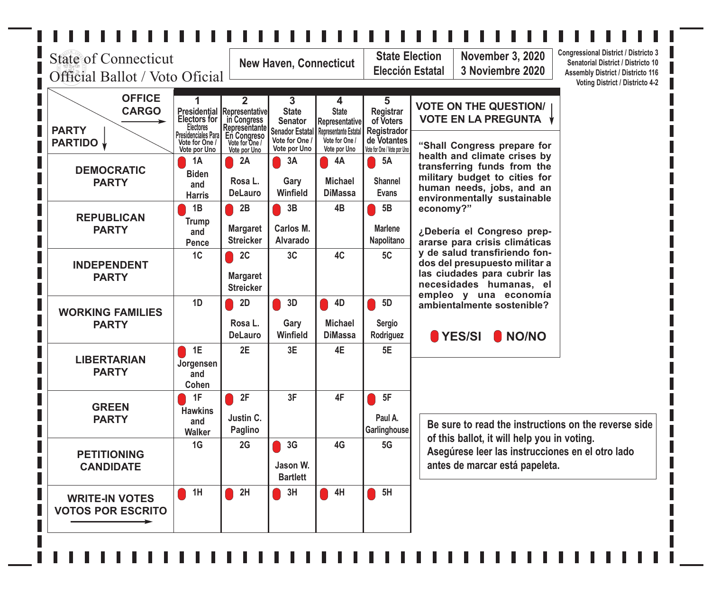# П

П

L

L

I Γ

Г

П

П

П

| <b>State of Connecticut</b><br>Official Ballot / Voto Oficial   |                                                                                                         |                                                                                      | <b>New Haven, Connecticut</b>                                                   |                                                                                       |                                                                            | <b>Congressional District / Districto 3</b><br><b>State Election</b><br><b>November 3, 2020</b><br>Senatorial District / Districto 10<br><b>Elección Estatal</b><br>3 Noviembre 2020<br><b>Assembly District / Districto 116</b><br><b>Voting District / Districto 4-2</b> |
|-----------------------------------------------------------------|---------------------------------------------------------------------------------------------------------|--------------------------------------------------------------------------------------|---------------------------------------------------------------------------------|---------------------------------------------------------------------------------------|----------------------------------------------------------------------------|----------------------------------------------------------------------------------------------------------------------------------------------------------------------------------------------------------------------------------------------------------------------------|
| <b>OFFICE</b><br><b>CARGO</b><br><b>PARTY</b><br><b>PARTIDO</b> | <b>Presidential</b><br><b>Electors for</b><br>Electores<br><b>Presidenciales Para</b><br>Vote for One / | 2<br>Representative<br>in Congress<br>Representante<br>En Congreso<br>Vote for One / | 3<br><b>State</b><br><b>Senator</b><br><b>Senador Estatal</b><br>Vote for One / | 4<br><b>State</b><br><b>Representative</b><br>Representante Estatal<br>Vote for One / | 5<br><b>Registrar</b><br>of Voters<br>Registrador<br>de Votantes           | <b>VOTE ON THE QUESTION/</b><br><b>VOTE EN LA PREGUNTA</b>                                                                                                                                                                                                                 |
| <b>DEMOCRATIC</b><br><b>PARTY</b>                               | Vote por Uno<br><b>1A</b><br><b>Biden</b><br>and<br><b>Harris</b>                                       | Vote por Uno<br>2A<br>Rosa L.<br><b>DeLauro</b>                                      | Vote por Uno<br>3A<br>Gary<br>Winfield                                          | Vote por Uno<br>4A<br><b>Michael</b><br><b>DiMassa</b>                                | Vote for One / Vote por Uno<br><b>5A</b><br><b>Shannel</b><br><b>Evans</b> | "Shall Congress prepare for<br>health and climate crises by<br>transferring funds from the<br>military budget to cities for<br>human needs, jobs, and an<br>environmentally sustainable                                                                                    |
| <b>REPUBLICAN</b><br><b>PARTY</b>                               | 1B<br><b>Trump</b><br>and<br>Pence                                                                      | 2B<br><b>Margaret</b><br><b>Streicker</b>                                            | 3B<br>Carlos M.<br><b>Alvarado</b>                                              | 4B                                                                                    | 5B<br><b>Marlene</b><br>Napolitano                                         | economy?"<br>¿Debería el Congreso prep-<br>ararse para crisis climáticas                                                                                                                                                                                                   |
| <b>INDEPENDENT</b><br><b>PARTY</b>                              | 1C                                                                                                      | 2C<br><b>Margaret</b><br><b>Streicker</b>                                            | 3C                                                                              | 4C                                                                                    | 5C                                                                         | y de salud transfiriendo fon-<br>dos del presupuesto militar a<br>las ciudades para cubrir las<br>necesidades humanas, el<br>empleo y una economía                                                                                                                         |
| <b>WORKING FAMILIES</b><br><b>PARTY</b>                         | 1D                                                                                                      | 2D<br>Rosa L.<br><b>DeLauro</b>                                                      | 3D<br>Gary<br><b>Winfield</b>                                                   | 4D<br><b>Michael</b><br><b>DiMassa</b>                                                | 5D<br><b>Sergio</b><br>Rodriguez                                           | ambientalmente sostenible?<br>YES/SI<br>I NO/NO                                                                                                                                                                                                                            |
| <b>LIBERTARIAN</b><br><b>PARTY</b>                              | 1E<br>Jorgensen<br>and<br>Cohen                                                                         | 2E                                                                                   | 3E                                                                              | 4E                                                                                    | 5E                                                                         |                                                                                                                                                                                                                                                                            |
| <b>GREEN</b><br><b>PARTY</b>                                    | 1F<br><b>Hawkins</b><br>and<br><b>Walker</b>                                                            | 2F<br>Justin C.<br>Paglino                                                           | 3F                                                                              | 4F                                                                                    | 5F<br>Paul A.<br>Garlinghouse                                              | Be sure to read the instructions on the reverse side                                                                                                                                                                                                                       |
| <b>PETITIONING</b><br><b>CANDIDATE</b>                          | 1G                                                                                                      | 2G                                                                                   | 3G<br>Jason W.<br><b>Bartlett</b>                                               | 4G                                                                                    | 5G                                                                         | of this ballot, it will help you in voting.<br>Asegúrese leer las instrucciones en el otro lado<br>antes de marcar está papeleta.                                                                                                                                          |
| <b>WRITE-IN VOTES</b><br><b>VOTOS POR ESCRITO</b>               | 1H                                                                                                      | 2H                                                                                   | 3H                                                                              | 4H                                                                                    | 5H                                                                         |                                                                                                                                                                                                                                                                            |
|                                                                 |                                                                                                         |                                                                                      |                                                                                 |                                                                                       |                                                                            |                                                                                                                                                                                                                                                                            |

 $\blacksquare$  $\mathbf{L}$  $\mathbb{R}$  $\mathbb{R}$  $\blacksquare$ П П П П П П П П П П П П П П П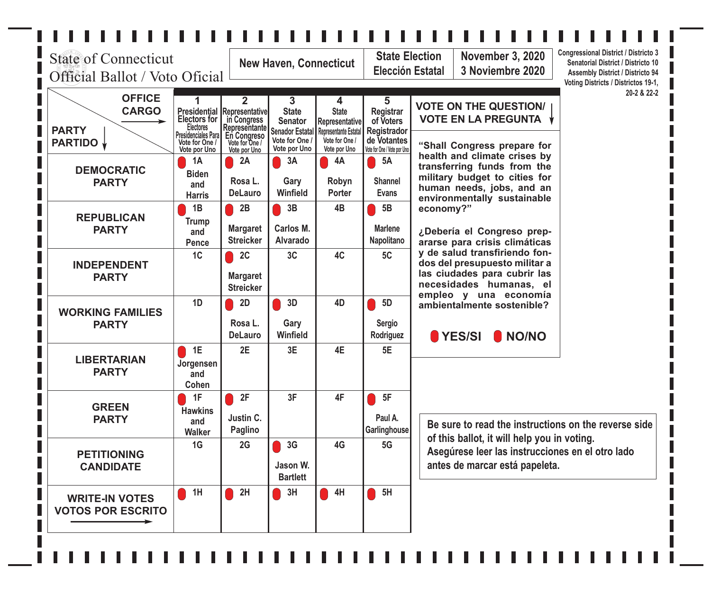# $\mathcal{L}_{\mathcal{A}}$

П

| <b>State of Connecticut</b><br>Official Ballot / Voto Oficial   |                                                                                                                                        | <b>New Haven, Connecticut</b>                                                                   |                                                                                                 |                                                                                                | <b>Congressional District / Districto 3</b><br><b>State Election</b><br><b>November 3, 2020</b><br>Senatorial District / Districto 10<br><b>Elección Estatal</b><br>3 Noviembre 2020<br><b>Assembly District / Districto 94</b><br>Voting Districts / Districtos 19-1, |                                                                                                                                                          |
|-----------------------------------------------------------------|----------------------------------------------------------------------------------------------------------------------------------------|-------------------------------------------------------------------------------------------------|-------------------------------------------------------------------------------------------------|------------------------------------------------------------------------------------------------|------------------------------------------------------------------------------------------------------------------------------------------------------------------------------------------------------------------------------------------------------------------------|----------------------------------------------------------------------------------------------------------------------------------------------------------|
| <b>OFFICE</b><br><b>CARGO</b><br><b>PARTY</b><br><b>PARTIDO</b> | <b>Presidential Representative</b><br><b>Electors for</b><br><b>Electores</b><br>Presidenciales Para<br>Vote for One /<br>Vote por Uno | $\overline{2}$<br>in Congress<br>Representante<br>En Congreso<br>Vote for One /<br>Vote por Uno | 3<br><b>State</b><br><b>Senator</b><br><b>Senador Estatal</b><br>Vote for One /<br>Vote por Uno | 4<br><b>State</b><br>Representative<br>Representante Estatal<br>Vote for One /<br>Vote por Uno | 5<br><b>Registrar</b><br>of Voters<br>Registrador<br>de Votantes<br>Vote for One / Vote por Uno                                                                                                                                                                        | 20-2 & 22-2<br><b>VOTE ON THE QUESTION/</b><br><b>VOTE EN LA PREGUNTA</b><br>"Shall Congress prepare for                                                 |
| <b>DEMOCRATIC</b><br><b>PARTY</b>                               | 1A<br><b>Biden</b><br>and<br><b>Harris</b>                                                                                             | 2A<br>Rosa L.<br><b>DeLauro</b>                                                                 | 3A<br>Gary<br>Winfield                                                                          | 4A<br>Robyn<br><b>Porter</b>                                                                   | 5A<br><b>Shannel</b><br><b>Evans</b>                                                                                                                                                                                                                                   | health and climate crises by<br>transferring funds from the<br>military budget to cities for<br>human needs, jobs, and an<br>environmentally sustainable |
| <b>REPUBLICAN</b><br><b>PARTY</b>                               | 1B<br>Trump<br>and<br>Pence                                                                                                            | 2B<br><b>Margaret</b><br><b>Streicker</b>                                                       | 3B<br>Carlos M.<br><b>Alvarado</b>                                                              | 4B                                                                                             | 5B<br><b>Marlene</b><br>Napolitano                                                                                                                                                                                                                                     | economy?"<br>¿Debería el Congreso prep-<br>ararse para crisis climáticas                                                                                 |
| <b>INDEPENDENT</b><br><b>PARTY</b>                              | 1 <sub>C</sub>                                                                                                                         | 2C<br><b>Margaret</b><br><b>Streicker</b>                                                       | 3C                                                                                              | 4C                                                                                             | 5C                                                                                                                                                                                                                                                                     | y de salud transfiriendo fon-<br>dos del presupuesto militar a<br>las ciudades para cubrir las<br>necesidades humanas, el<br>empleo y una economía       |
| <b>WORKING FAMILIES</b><br><b>PARTY</b>                         | 1D                                                                                                                                     | 2D<br>Rosa L.<br><b>DeLauro</b>                                                                 | 3D<br>Gary<br>Winfield                                                                          | 4D                                                                                             | <b>5D</b><br><b>Sergio</b><br>Rodriguez                                                                                                                                                                                                                                | ambientalmente sostenible?<br>YES/SI<br>I NO/NO                                                                                                          |
| <b>LIBERTARIAN</b><br><b>PARTY</b>                              | 1E<br>Jorgensen<br>and<br>Cohen                                                                                                        | 2E                                                                                              | 3E                                                                                              | 4E                                                                                             | 5E                                                                                                                                                                                                                                                                     |                                                                                                                                                          |
| <b>GREEN</b><br><b>PARTY</b>                                    | 1F<br><b>Hawkins</b><br>and<br><b>Walker</b>                                                                                           | 2F<br>Justin C.<br>Paglino                                                                      | 3F                                                                                              | 4F                                                                                             | 5F<br>Paul A.<br>Garlinghouse                                                                                                                                                                                                                                          | Be sure to read the instructions on the reverse side                                                                                                     |
| <b>PETITIONING</b><br><b>CANDIDATE</b>                          | 1G                                                                                                                                     | 2G                                                                                              | 3G<br>Jason W.<br><b>Bartlett</b>                                                               | 4G                                                                                             | 5G                                                                                                                                                                                                                                                                     | of this ballot, it will help you in voting.<br>Asegúrese leer las instrucciones en el otro lado<br>antes de marcar está papeleta.                        |
| <b>WRITE-IN VOTES</b><br><b>VOTOS POR ESCRITO</b>               | 1H                                                                                                                                     | 2H                                                                                              | 3H                                                                                              | 4H                                                                                             | 5H                                                                                                                                                                                                                                                                     |                                                                                                                                                          |

П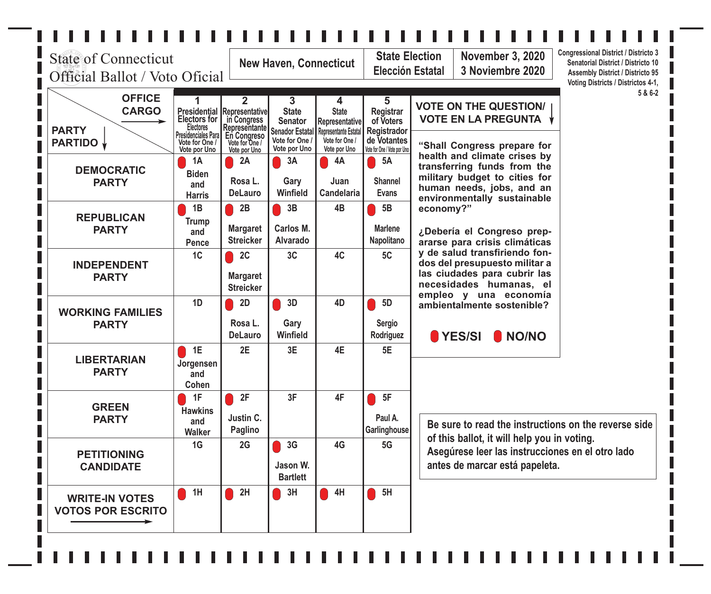### . . . . . . . . . . . . . .  $\blacksquare$  $\overline{\mathcal{A}}$  $\overline{\phantom{a}}$  $\overline{\phantom{a}}$  $\overline{\phantom{a}}$  $\overline{\mathcal{A}}$  $\overline{\phantom{a}}$  $\blacksquare$  $\blacksquare$  $\mathbf{I}$

| <b>State of Connecticut</b><br>Official Ballot / Voto Oficial   | <b>New Haven, Connecticut</b>                                                                                                |                                                                                                                  |                                                                                                 | <b>State Election</b><br>Elección Estatal                                                             | <b>Congressional District / Districto 3</b><br><b>November 3, 2020</b><br>Senatorial District / Districto 10<br>3 Noviembre 2020<br><b>Assembly District / Districto 95</b><br>Voting Districts / Districtos 4-1, |                                                                                                                                                          |
|-----------------------------------------------------------------|------------------------------------------------------------------------------------------------------------------------------|------------------------------------------------------------------------------------------------------------------|-------------------------------------------------------------------------------------------------|-------------------------------------------------------------------------------------------------------|-------------------------------------------------------------------------------------------------------------------------------------------------------------------------------------------------------------------|----------------------------------------------------------------------------------------------------------------------------------------------------------|
| <b>OFFICE</b><br><b>CARGO</b><br><b>PARTY</b><br><b>PARTIDO</b> | 1<br><b>Presidential</b><br><b>Electors for</b><br><b>Electores</b><br>Presidenciales Para<br>Vote for One /<br>Vote por Uno | $\mathbf 2$<br>Representative<br>in Congress<br> Representante <br>En Congreso<br>Vote for One /<br>Vote por Uno | 3<br><b>State</b><br><b>Senator</b><br><b>Senador Estatal</b><br>Vote for One /<br>Vote por Uno | 4<br><b>State</b><br>Representative<br><b>Representante Estatal</b><br>Vote for One /<br>Vote por Uno | 5<br>Registrar<br>of Voters<br>Registrador<br>de Votantes<br>Vote for One / Vote por Uno                                                                                                                          | 5 & 6-2<br><b>VOTE ON THE QUESTION/</b><br><b>VOTE EN LA PREGUNTA</b><br>"Shall Congress prepare for                                                     |
| <b>DEMOCRATIC</b><br><b>PARTY</b>                               | 1A<br><b>Biden</b><br>and<br><b>Harris</b>                                                                                   | 2A<br>Rosa L.<br><b>DeLauro</b>                                                                                  | 3A<br>Gary<br>Winfield                                                                          | 4A<br>Juan<br><b>Candelaria</b>                                                                       | $\bigcirc$ 5A<br><b>Shannel</b><br><b>Evans</b>                                                                                                                                                                   | health and climate crises by<br>transferring funds from the<br>military budget to cities for<br>human needs, jobs, and an<br>environmentally sustainable |
| <b>REPUBLICAN</b><br><b>PARTY</b>                               | 1B<br><b>Trump</b><br>and<br><b>Pence</b>                                                                                    | 2B<br><b>Margaret</b><br><b>Streicker</b>                                                                        | 3B<br>Carlos M.<br><b>Alvarado</b>                                                              | 4B                                                                                                    | 5B<br><b>Marlene</b><br>Napolitano                                                                                                                                                                                | economy?"<br>¿Debería el Congreso prep-<br>ararse para crisis climáticas                                                                                 |
| <b>INDEPENDENT</b><br><b>PARTY</b>                              | 1 <sub>C</sub>                                                                                                               | 2C<br><b>Margaret</b><br><b>Streicker</b>                                                                        | 3C                                                                                              | 4C                                                                                                    | 5C                                                                                                                                                                                                                | y de salud transfiriendo fon-<br>dos del presupuesto militar a<br>las ciudades para cubrir las<br>necesidades humanas, el                                |
| <b>WORKING FAMILIES</b><br><b>PARTY</b>                         | 1D                                                                                                                           | 2D<br>Rosa L.<br><b>DeLauro</b>                                                                                  | 3D<br>Gary<br><b>Winfield</b>                                                                   | 4D                                                                                                    | 5D<br><b>Sergio</b><br>Rodriguez                                                                                                                                                                                  | empleo y una economía<br>ambientalmente sostenible?<br>YES/SI<br>NO/NO                                                                                   |
| <b>LIBERTARIAN</b><br><b>PARTY</b>                              | 1E<br>Jorgensen<br>and<br>Cohen                                                                                              | 2E                                                                                                               | 3E                                                                                              | 4E                                                                                                    | 5E                                                                                                                                                                                                                |                                                                                                                                                          |
| <b>GREEN</b><br><b>PARTY</b>                                    | 1F<br><b>Hawkins</b><br>and<br><b>Walker</b>                                                                                 | 2F<br>Justin C.<br>Paglino                                                                                       | 3F                                                                                              | 4F                                                                                                    | 5F<br>Paul A.<br>Garlinghouse                                                                                                                                                                                     | Be sure to read the instructions on the reverse side                                                                                                     |
| <b>PETITIONING</b><br><b>CANDIDATE</b>                          | 1G                                                                                                                           | 2G                                                                                                               | 3G<br>Jason W.<br><b>Bartlett</b>                                                               | 4G                                                                                                    | 5G                                                                                                                                                                                                                | of this ballot, it will help you in voting.<br>Asegúrese leer las instrucciones en el otro lado<br>antes de marcar está papeleta.                        |
| <b>WRITE-IN VOTES</b><br><b>VOTOS POR ESCRITO</b>               | 1H                                                                                                                           | 2H                                                                                                               | 3H                                                                                              | 4H                                                                                                    | $\blacksquare$ 5H                                                                                                                                                                                                 |                                                                                                                                                          |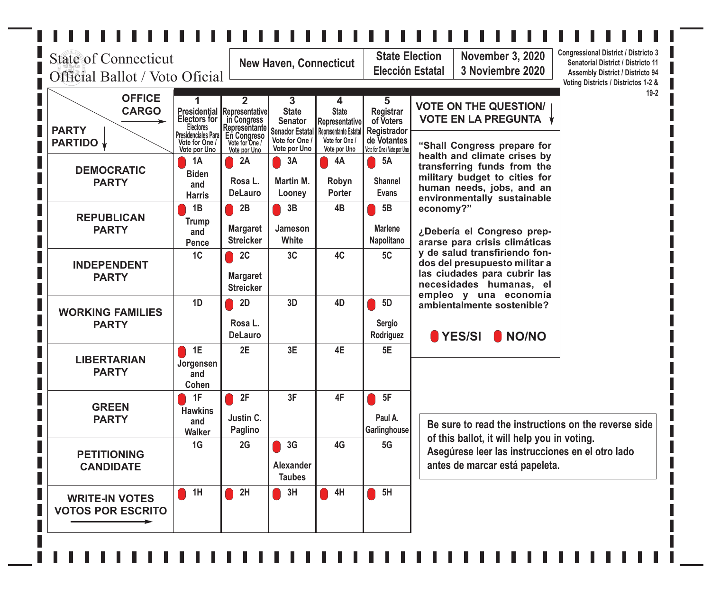# $\Box$  $\blacksquare$  $\mathbb{R}^{\mathbb{N}}$

| <b>State of Connecticut</b><br>Official Ballot / Voto Oficial   |                                                                                                                              |                                                                                                                 | <b>New Haven, Connecticut</b>                                                                   |                                                                                                       |                                                                                                 | <b>State Election</b><br><b>November 3, 2020</b><br>3 Noviembre 2020<br>Elección Estatal                                                                 | <b>Congressional District / Districto 3</b><br>Senatorial District / Districto 11<br><b>Assembly District / Districto 94</b><br>Voting Districts / Districtos 1-2 & |
|-----------------------------------------------------------------|------------------------------------------------------------------------------------------------------------------------------|-----------------------------------------------------------------------------------------------------------------|-------------------------------------------------------------------------------------------------|-------------------------------------------------------------------------------------------------------|-------------------------------------------------------------------------------------------------|----------------------------------------------------------------------------------------------------------------------------------------------------------|---------------------------------------------------------------------------------------------------------------------------------------------------------------------|
| <b>OFFICE</b><br><b>CARGO</b><br><b>PARTY</b><br><b>PARTIDO</b> | 1<br><b>Presidential</b><br><b>Electors for</b><br><b>Electores</b><br>Presidenciales Para<br>Vote for One /<br>Vote por Uno | $\mathbf{2}$<br>Representative<br>in Congress<br>Representante<br>En Congreso<br>Vote for One /<br>Vote por Uno | 3<br><b>State</b><br><b>Senator</b><br><b>Senador Estatal</b><br>Vote for One /<br>Vote por Uno | 4<br><b>State</b><br>Representative<br><b>Representante Estatal</b><br>Vote for One /<br>Vote por Uno | 5<br>Registrar<br>of Voters<br><b>Registrador</b><br>de Votantes<br>Vote for One / Vote por Uno | <b>VOTE ON THE QUESTION/</b><br><b>VOTE EN LA PREGUNTA</b><br>"Shall Congress prepare for                                                                | $19 - 2$                                                                                                                                                            |
| <b>DEMOCRATIC</b><br><b>PARTY</b>                               | <b>1A</b><br><b>Biden</b><br>and<br><b>Harris</b>                                                                            | 2A<br>Rosa L.<br><b>DeLauro</b>                                                                                 | $\vert$ 3A<br><b>Martin M.</b><br>Looney                                                        | 4A<br>Robyn<br>Porter                                                                                 | <b>5A</b><br><b>Shannel</b><br><b>Evans</b>                                                     | health and climate crises by<br>transferring funds from the<br>military budget to cities for<br>human needs, jobs, and an<br>environmentally sustainable |                                                                                                                                                                     |
| <b>REPUBLICAN</b><br><b>PARTY</b>                               | 1B<br><b>Trump</b><br>and<br>Pence                                                                                           | 2B<br><b>Margaret</b><br><b>Streicker</b>                                                                       | 3B<br>Jameson<br>White                                                                          | 4B                                                                                                    | 5B<br><b>Marlene</b><br>Napolitano                                                              | economy?"<br>¿Debería el Congreso prep-<br>ararse para crisis climáticas                                                                                 |                                                                                                                                                                     |
| <b>INDEPENDENT</b><br><b>PARTY</b>                              | 1C                                                                                                                           | 2C<br><b>Margaret</b><br><b>Streicker</b>                                                                       | 3C                                                                                              | 4C                                                                                                    | 5C                                                                                              | y de salud transfiriendo fon-<br>dos del presupuesto militar a<br>las ciudades para cubrir las<br>necesidades humanas, el<br>empleo y una economía       |                                                                                                                                                                     |
| <b>WORKING FAMILIES</b><br><b>PARTY</b>                         | 1D                                                                                                                           | 2D<br>Rosa L.<br><b>DeLauro</b>                                                                                 | 3D                                                                                              | 4D                                                                                                    | 5D<br><b>Sergio</b><br>Rodriguez                                                                | ambientalmente sostenible?<br>YES/SI<br>I NO/NO                                                                                                          |                                                                                                                                                                     |
| <b>LIBERTARIAN</b><br><b>PARTY</b>                              | 1E<br>Jorgensen<br>and<br>Cohen                                                                                              | 2E                                                                                                              | 3E                                                                                              | 4E                                                                                                    | 5E                                                                                              |                                                                                                                                                          |                                                                                                                                                                     |
| <b>GREEN</b><br><b>PARTY</b>                                    | 1F<br><b>Hawkins</b><br>and<br><b>Walker</b>                                                                                 | 2F<br>Justin C.<br><b>Paglino</b>                                                                               | 3F                                                                                              | 4F                                                                                                    | 5F<br>Paul A.<br>Garlinghouse                                                                   | Be sure to read the instructions on the reverse side                                                                                                     |                                                                                                                                                                     |
| <b>PETITIONING</b><br><b>CANDIDATE</b>                          | 1G                                                                                                                           | 2G                                                                                                              | 3G<br><b>Alexander</b><br><b>Taubes</b>                                                         | 4G                                                                                                    | 5G                                                                                              | of this ballot, it will help you in voting.<br>Asegúrese leer las instrucciones en el otro lado<br>antes de marcar está papeleta.                        |                                                                                                                                                                     |
| <b>WRITE-IN VOTES</b><br><b>VOTOS POR ESCRITO</b>               | 1H                                                                                                                           | 2H                                                                                                              | 3H                                                                                              | 4H                                                                                                    | 5H                                                                                              |                                                                                                                                                          |                                                                                                                                                                     |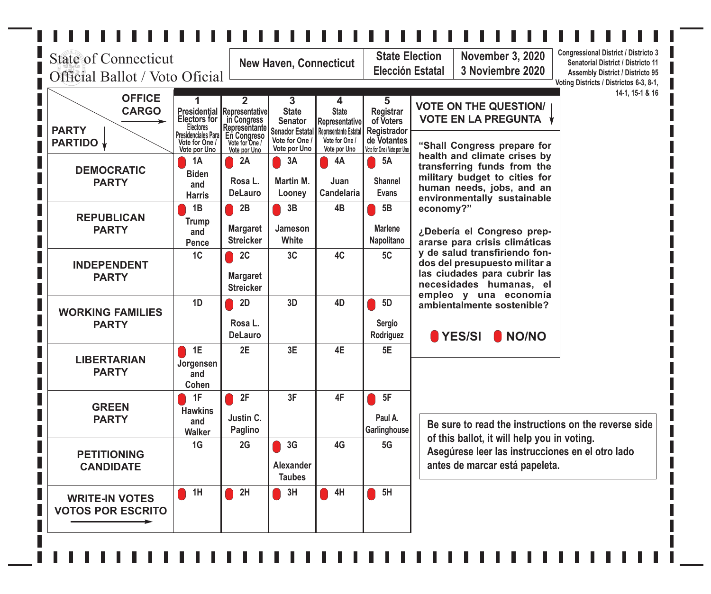# $\Box$  $\blacksquare$  $\mathbb{R}^{\mathbb{N}}$

| <b>State of Connecticut</b><br>Official Ballot / Voto Oficial   |                                                                                                                        |                                                                                         | <b>New Haven, Connecticut</b>                                                   |                                                                                |                                                                     | <b>Congressional District / Districto 3</b><br><b>State Election</b><br><b>November 3, 2020</b><br>Senatorial District / Districto 11<br><b>Elección Estatal</b><br>3 Noviembre 2020<br><b>Assembly District / Districto 95</b><br>Voting Districts / Districtos 6-3, 8-1, |
|-----------------------------------------------------------------|------------------------------------------------------------------------------------------------------------------------|-----------------------------------------------------------------------------------------|---------------------------------------------------------------------------------|--------------------------------------------------------------------------------|---------------------------------------------------------------------|----------------------------------------------------------------------------------------------------------------------------------------------------------------------------------------------------------------------------------------------------------------------------|
| <b>OFFICE</b><br><b>CARGO</b><br><b>PARTY</b><br><b>PARTIDO</b> | <b>Presidential Representative</b><br><b>Electors for</b><br><b>Electores</b><br>Presidenciales Para<br>Vote for One / | $\overline{2}$<br>_in Congress<br><b>Representante</b><br>En Congreso<br>Vote for One / | 3<br><b>State</b><br><b>Senator</b><br><b>Senador Estatal</b><br>Vote for One / | 4<br><b>State</b><br>Representative<br>Representante Estatal<br>Vote for One / | 5<br><b>Registrar</b><br>of Voters<br>Registrador<br>de Votantes    | 14-1, 15-1 & 16<br><b>VOTE ON THE QUESTION/</b><br><b>VOTE EN LA PREGUNTA</b><br>"Shall Congress prepare for                                                                                                                                                               |
| <b>DEMOCRATIC</b><br><b>PARTY</b>                               | Vote por Uno<br>1A<br><b>Biden</b><br>and<br><b>Harris</b>                                                             | Vote por Uno<br>2A<br>Rosa L.<br><b>DeLauro</b>                                         | Vote por Uno<br>3A<br><b>Martin M.</b><br>Looney                                | Vote por Uno<br>4A<br>Juan<br>Candelaria                                       | Vote for One / Vote por Uno<br>5A<br><b>Shannel</b><br><b>Evans</b> | health and climate crises by<br>transferring funds from the<br>military budget to cities for<br>human needs, jobs, and an<br>environmentally sustainable                                                                                                                   |
| <b>REPUBLICAN</b><br><b>PARTY</b>                               | 1B<br><b>Trump</b><br>and<br>Pence                                                                                     | 2B<br><b>Margaret</b><br><b>Streicker</b>                                               | 3B<br>Jameson<br>White                                                          | 4B                                                                             | 5B<br><b>Marlene</b><br>Napolitano                                  | economy?"<br>¿Debería el Congreso prep-<br>ararse para crisis climáticas                                                                                                                                                                                                   |
| <b>INDEPENDENT</b><br><b>PARTY</b>                              | 1C                                                                                                                     | 2C<br><b>Margaret</b><br><b>Streicker</b>                                               | 3C                                                                              | 4C                                                                             | 5C                                                                  | y de salud transfiriendo fon-<br>dos del presupuesto militar a<br>las ciudades para cubrir las<br>necesidades humanas, el<br>empleo y una economía                                                                                                                         |
| <b>WORKING FAMILIES</b><br><b>PARTY</b>                         | 1D                                                                                                                     | 2D<br>Rosa L.<br><b>DeLauro</b>                                                         | 3D                                                                              | 4D                                                                             | 5D<br><b>Sergio</b><br>Rodriguez                                    | ambientalmente sostenible?<br>$\blacktriangleright$ YES/SI<br>I NO/NO                                                                                                                                                                                                      |
| <b>LIBERTARIAN</b><br><b>PARTY</b>                              | 1E<br>Jorgensen<br>and<br>Cohen                                                                                        | 2E                                                                                      | 3E                                                                              | 4E                                                                             | 5E                                                                  |                                                                                                                                                                                                                                                                            |
| <b>GREEN</b><br><b>PARTY</b>                                    | 1F<br><b>Hawkins</b><br>and<br><b>Walker</b>                                                                           | 2F<br>Justin C.<br>Paglino                                                              | 3F                                                                              | 4F                                                                             | 5F<br>Paul A.<br>Garlinghouse                                       | Be sure to read the instructions on the reverse side                                                                                                                                                                                                                       |
| <b>PETITIONING</b><br><b>CANDIDATE</b>                          | 1G                                                                                                                     | 2G                                                                                      | 3G<br><b>Alexander</b><br><b>Taubes</b>                                         | 4G                                                                             | 5G                                                                  | of this ballot, it will help you in voting.<br>Asegúrese leer las instrucciones en el otro lado<br>antes de marcar está papeleta.                                                                                                                                          |
| <b>WRITE-IN VOTES</b><br><b>VOTOS POR ESCRITO</b>               | 1H                                                                                                                     | 2H                                                                                      | 3H                                                                              | 4H                                                                             | 5H                                                                  |                                                                                                                                                                                                                                                                            |
|                                                                 |                                                                                                                        |                                                                                         |                                                                                 |                                                                                |                                                                     |                                                                                                                                                                                                                                                                            |

 $\blacksquare$